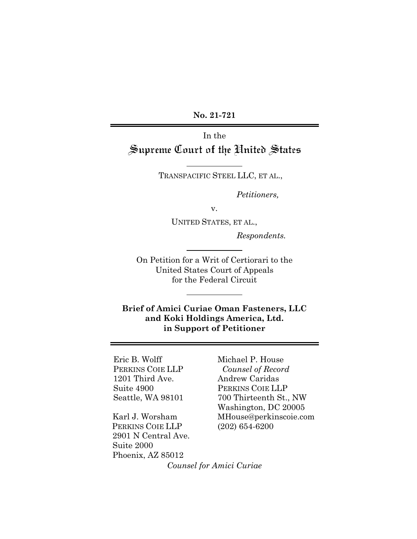**No. 21-721**

In the Supreme Court of the United States

TRANSPACIFIC STEEL LLC, ET AL.,

*Petitioners,*

v.

UNITED STATES, ET AL.,

*Respondents.*

On Petition for a Writ of Certiorari to the United States Court of Appeals for the Federal Circuit

**Brief of Amici Curiae Oman Fasteners, LLC and Koki Holdings America, Ltd. in Support of Petitioner**

Eric B. Wolff PERKINS COIE LLP 1201 Third Ave. Suite 4900 Seattle, WA 98101

Karl J. Worsham PERKINS COIE LLP 2901 N Central Ave. Suite 2000 Phoenix, AZ 85012

Michael P. House  *Counsel of Record* Andrew Caridas PERKINS COIE LLP 700 Thirteenth St., NW Washington, DC 20005 MHouse@perkinscoie.com (202) 654-6200

*Counsel for Amici Curiae*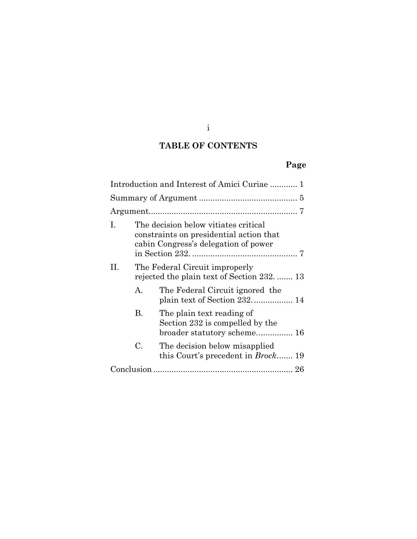i

## **TABLE OF CONTENTS**

# **Page**

| Introduction and Interest of Amici Curiae  1 |                                                                               |                                                                                                                         |  |  |
|----------------------------------------------|-------------------------------------------------------------------------------|-------------------------------------------------------------------------------------------------------------------------|--|--|
|                                              |                                                                               |                                                                                                                         |  |  |
|                                              |                                                                               |                                                                                                                         |  |  |
| L                                            |                                                                               | The decision below vitiates critical<br>constraints on presidential action that<br>cabin Congress's delegation of power |  |  |
| H.                                           | The Federal Circuit improperly<br>rejected the plain text of Section 232.  13 |                                                                                                                         |  |  |
|                                              | $A_{-}$                                                                       | The Federal Circuit ignored the<br>plain text of Section 232 14                                                         |  |  |
|                                              | В.                                                                            | The plain text reading of<br>Section 232 is compelled by the<br>broader statutory scheme 16                             |  |  |
|                                              | C.                                                                            | The decision below misapplied<br>this Court's precedent in <i>Brock</i> 19                                              |  |  |
|                                              |                                                                               |                                                                                                                         |  |  |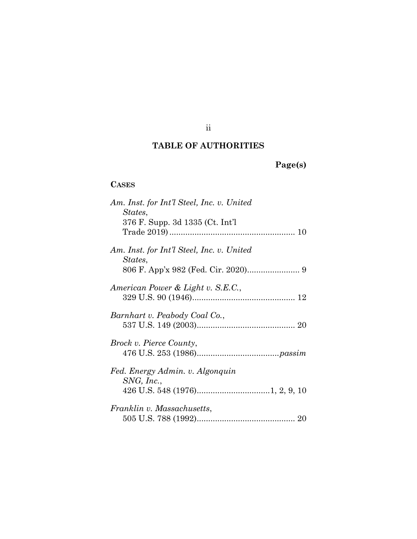## ii

## **TABLE OF AUTHORITIES**

# **Page(s)**

## **CASES**

| Am. Inst. for Int'l Steel, Inc. v. United            |
|------------------------------------------------------|
| States,                                              |
| 376 F. Supp. 3d 1335 (Ct. Int'l                      |
|                                                      |
| Am. Inst. for Int'l Steel, Inc. v. United<br>States, |
|                                                      |
| American Power & Light v. S.E.C.,                    |
|                                                      |
|                                                      |
| Barnhart v. Peabody Coal Co.,                        |
|                                                      |
| <i>Brock v. Pierce County,</i>                       |
|                                                      |
|                                                      |
| Fed. Energy Admin. v. Algonquin                      |
| SNG, Inc.,                                           |
|                                                      |
| Franklin v. Massachusetts,                           |
|                                                      |
|                                                      |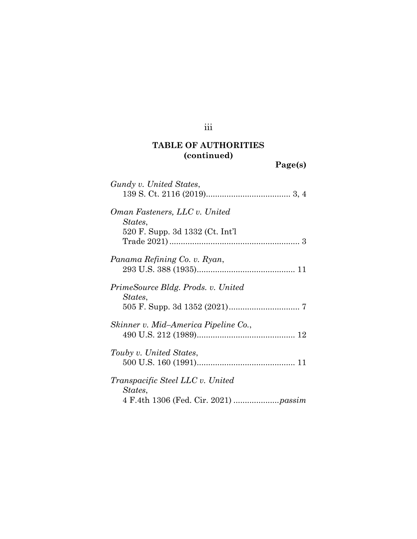# iii

# **TABLE OF AUTHORITIES (continued)**

**Page(s)**

| Gundy v. United States,                       |
|-----------------------------------------------|
| Oman Fasteners, LLC v. United<br>States,      |
| 520 F. Supp. 3d 1332 (Ct. Int'l               |
| Panama Refining Co. v. Ryan,                  |
| PrimeSource Bldg. Prods. v. United<br>States, |
| Skinner v. Mid-America Pipeline Co.,          |
| Touby v. United States,                       |
| Transpacific Steel LLC v. United<br>States,   |
|                                               |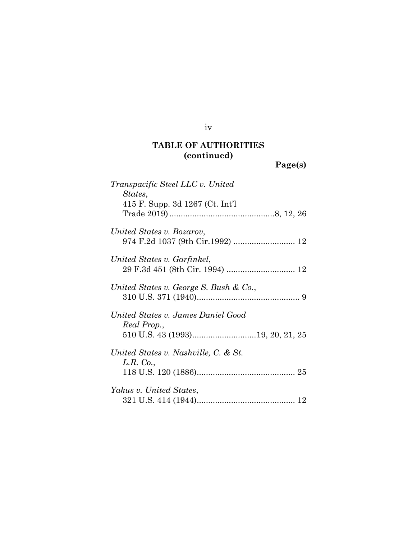iv

# **TABLE OF AUTHORITIES (continued)**

**Page(s)**

| Transpacific Steel LLC v. United<br>States,<br>415 F. Supp. 3d 1267 (Ct. Int'l |
|--------------------------------------------------------------------------------|
|                                                                                |
| United States v. Bozarov,                                                      |
| United States v. Garfinkel,                                                    |
| United States v. George S. Bush & Co.,                                         |
| United States v. James Daniel Good<br>Real Prop.,                              |
| United States v. Nashville, C. & St.<br>L.R. Co.,                              |
| Yakus v. United States,                                                        |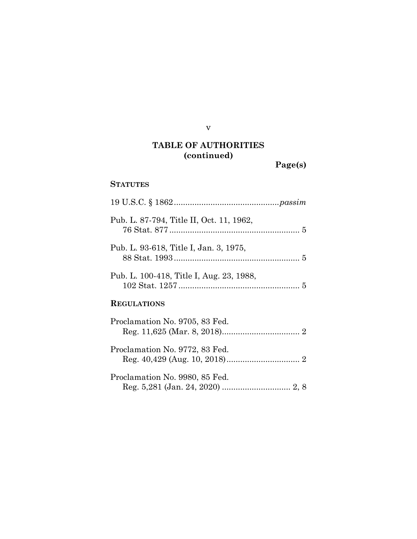v

# **TABLE OF AUTHORITIES (continued)**

**Page(s)**

### **STATUTES**

| Pub. L. 87-794, Title II, Oct. 11, 1962, |  |  |  |
|------------------------------------------|--|--|--|
| Pub. L. 93-618, Title I, Jan. 3, 1975,   |  |  |  |
| Pub. L. 100-418, Title I, Aug. 23, 1988, |  |  |  |
| <b>REGULATIONS</b>                       |  |  |  |
| Proclamation No. 9705, 83 Fed.           |  |  |  |
| Proclamation No. 9772, 83 Fed.           |  |  |  |
| Proclamation No. 9980, 85 Fed.           |  |  |  |

Reg. 5,281 (Jan. 24, 2020) .............................. [2,](#page-8-3) [8](#page-14-1)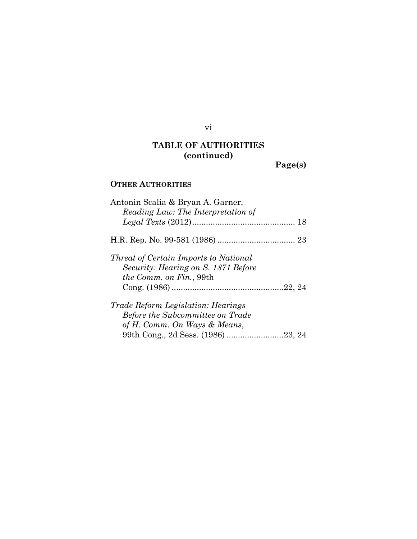# **TABLE OF AUTHORITIES (continued)**

vi

**Page(s)**

## **OTHER AUTHORITIES**

| Antonin Scalia & Bryan A. Garner,            |
|----------------------------------------------|
| Reading Law: The Interpretation of           |
|                                              |
|                                              |
| <i>Threat of Certain Imports to National</i> |
| Security: Hearing on S. 1871 Before          |
| <i>the Comm. on Fin.</i> , 99th              |
|                                              |
| <i>Trade Reform Legislation: Hearings</i>    |
| <b>Before the Subcommittee on Trade</b>      |
| of H. Comm. On Ways & Means,                 |
|                                              |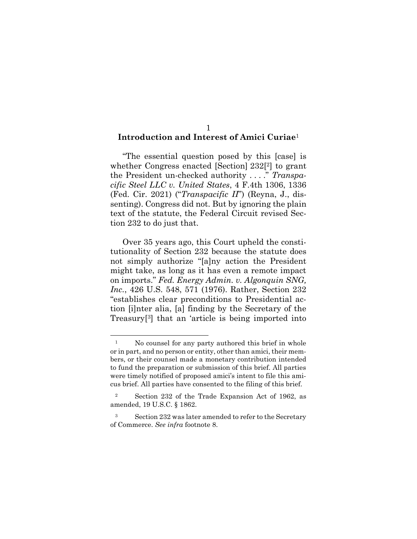#### <span id="page-7-0"></span>1 **Introduction and Interest of Amici Curiae**<sup>1</sup>

"The essential question posed by this [case] is whether Congress enacted [Section] 232<sup>[2]</sup> to grant the President un-checked authority . . . ." *Transpacific Steel LLC v. United States*, 4 F.4th 1306, 1336 (Fed. Cir. 2021) ("*Transpacific II*") (Reyna, J., dissenting). Congress did not. But by ignoring the plain text of the statute, the Federal Circuit revised Section 232 to do just that.

<span id="page-7-1"></span>Over 35 years ago, this Court upheld the constitutionality of Section 232 because the statute does not simply authorize "[a]ny action the President might take, as long as it has even a remote impact on imports." *Fed. Energy Admin. v. Algonquin SNG, Inc.*, 426 U.S. 548, 571 (1976). Rather, Section 232 "establishes clear preconditions to Presidential action [i]nter alia, [a] finding by the Secretary of the Treasury[ <sup>3</sup>] that an 'article is being imported into

<span id="page-7-2"></span>

<sup>&</sup>lt;sup>1</sup> No counsel for any party authored this brief in whole or in part, and no person or entity, other than amici, their members, or their counsel made a monetary contribution intended to fund the preparation or submission of this brief. All parties were timely notified of proposed amici's intent to file this amicus brief. All parties have consented to the filing of this brief.

<sup>2</sup> Section 232 of the Trade Expansion Act of 1962, as amended, 19 U.S.C. § 1862.

<sup>&</sup>lt;sup>3</sup> Section 232 was later amended to refer to the Secretary of Commerce. *See infra* footnote 8.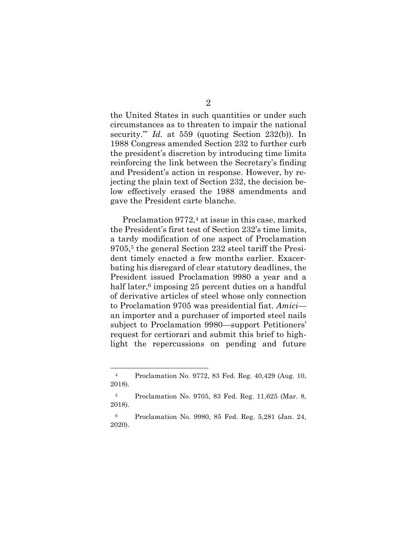<span id="page-8-0"></span>the United States in such quantities or under such circumstances as to threaten to impair the national security.'" *Id.* at 559 (quoting Section 232(b)). In 1988 Congress amended Section 232 to further curb the president's discretion by introducing time limits reinforcing the link between the Secretary's finding and President's action in response. However, by rejecting the plain text of Section 232, the decision below effectively erased the 1988 amendments and gave the President carte blanche.

Proclamation 9772,<sup>4</sup> at issue in this case, marked the President's first test of Section 232's time limits, a tardy modification of one aspect of Proclamation 9705,<sup>5</sup> the general Section 232 steel tariff the President timely enacted a few months earlier. Exacerbating his disregard of clear statutory deadlines, the President issued Proclamation 9980 a year and a half later, <sup>6</sup> imposing 25 percent duties on a handful of derivative articles of steel whose only connection to Proclamation 9705 was presidential fiat. *Amici* an importer and a purchaser of imported steel nails subject to Proclamation 9980—support Petitioners' request for certiorari and submit this brief to highlight the repercussions on pending and future

<span id="page-8-2"></span><sup>4</sup> Proclamation No. 9772, 83 Fed. Reg. 40,429 (Aug. 10, 2018).

<span id="page-8-3"></span><span id="page-8-1"></span><sup>5</sup> Proclamation No. 9705, 83 Fed. Reg. 11,625 (Mar. 8, 2018).

<sup>6</sup> Proclamation No. 9980, 85 Fed. Reg. 5,281 (Jan. 24, 2020).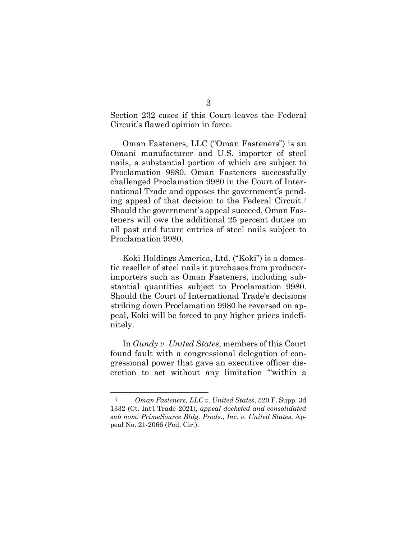Section 232 cases if this Court leaves the Federal Circuit's flawed opinion in force.

Oman Fasteners, LLC ("Oman Fasteners") is an Omani manufacturer and U.S. importer of steel nails, a substantial portion of which are subject to Proclamation 9980. Oman Fasteners successfully challenged Proclamation 9980 in the Court of International Trade and opposes the government's pending appeal of that decision to the Federal Circuit.<sup>7</sup> Should the government's appeal succeed, Oman Fasteners will owe the additional 25 percent duties on all past and future entries of steel nails subject to Proclamation 9980.

Koki Holdings America, Ltd. ("Koki") is a domestic reseller of steel nails it purchases from producerimporters such as Oman Fasteners, including substantial quantities subject to Proclamation 9980. Should the Court of International Trade's decisions striking down Proclamation 9980 be reversed on appeal, Koki will be forced to pay higher prices indefinitely.

In *Gundy v. United States*, members of this Court found fault with a congressional delegation of congressional power that gave an executive officer discretion to act without any limitation "'within a

<span id="page-9-0"></span><sup>7</sup> *Oman Fasteners, LLC v. United States*, 520 F. Supp. 3d 1332 (Ct. Int'l Trade 2021), *appeal docketed and consolidated sub nom. PrimeSource Bldg. Prods., Inc. v. United States*, Appeal No. 21-2066 (Fed. Cir.).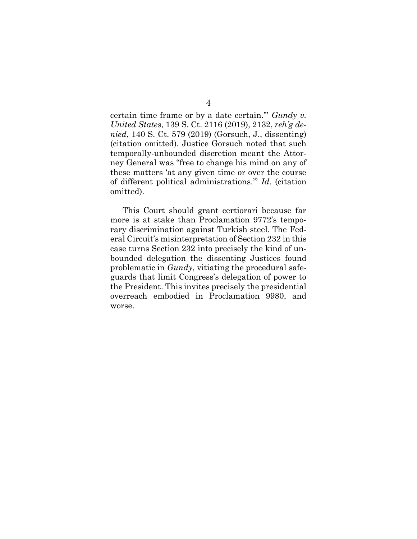<span id="page-10-0"></span>certain time frame or by a date certain.'" *Gundy v. United States*, 139 S. Ct. 2116 (2019), 2132, *reh'g denied*, 140 S. Ct. 579 (2019) (Gorsuch, J., dissenting) (citation omitted). Justice Gorsuch noted that such temporally-unbounded discretion meant the Attorney General was "free to change his mind on any of these matters 'at any given time or over the course of different political administrations.'" *Id.* (citation omitted).

This Court should grant certiorari because far more is at stake than Proclamation 9772's temporary discrimination against Turkish steel. The Federal Circuit's misinterpretation of Section 232 in this case turns Section 232 into precisely the kind of unbounded delegation the dissenting Justices found problematic in *Gundy*, vitiating the procedural safeguards that limit Congress's delegation of power to the President. This invites precisely the presidential overreach embodied in Proclamation 9980, and worse.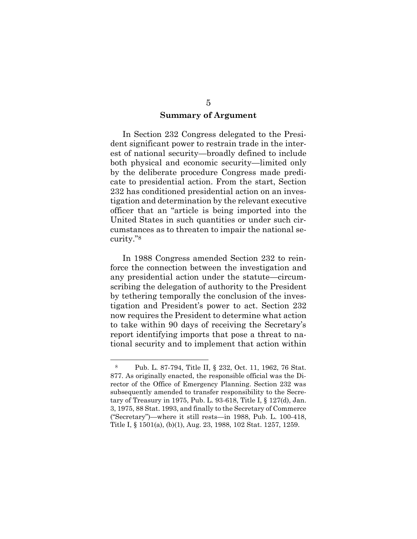#### **Summary of Argument**

<span id="page-11-0"></span>In Section 232 Congress delegated to the President significant power to restrain trade in the interest of national security—broadly defined to include both physical and economic security—limited only by the deliberate procedure Congress made predicate to presidential action. From the start, Section 232 has conditioned presidential action on an investigation and determination by the relevant executive officer that an "article is being imported into the United States in such quantities or under such circumstances as to threaten to impair the national security."<sup>8</sup>

In 1988 Congress amended Section 232 to reinforce the connection between the investigation and any presidential action under the statute—circumscribing the delegation of authority to the President by tethering temporally the conclusion of the investigation and President's power to act. Section 232 now requires the President to determine what action to take within 90 days of receiving the Secretary's report identifying imports that pose a threat to national security and to implement that action within

<span id="page-11-3"></span><span id="page-11-2"></span><span id="page-11-1"></span><sup>8</sup> Pub. L. 87-794, Title II, § 232, Oct. 11, 1962, 76 Stat. 877. As originally enacted, the responsible official was the Director of the Office of Emergency Planning. Section 232 was subsequently amended to transfer responsibility to the Secretary of Treasury in 1975, Pub. L. 93-618, Title I, § 127(d), Jan. 3, 1975, 88 Stat. 1993, and finally to the Secretary of Commerce ("Secretary")—where it still rests—in 1988, Pub. L. 100-418, Title I, § 1501(a), (b)(1), Aug. 23, 1988, 102 Stat. 1257, 1259.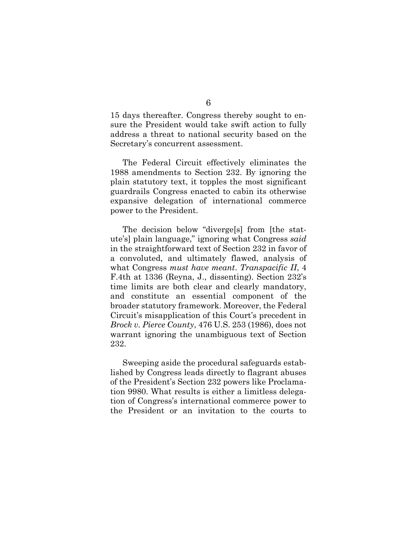15 days thereafter. Congress thereby sought to ensure the President would take swift action to fully address a threat to national security based on the Secretary's concurrent assessment.

The Federal Circuit effectively eliminates the 1988 amendments to Section 232. By ignoring the plain statutory text, it topples the most significant guardrails Congress enacted to cabin its otherwise expansive delegation of international commerce power to the President.

The decision below "diverge[s] from [the statute's] plain language," ignoring what Congress *said* in the straightforward text of Section 232 in favor of a convoluted, and ultimately flawed, analysis of what Congress *must have meant*. *Transpacific II*, 4 F.4th at 1336 (Reyna, J., dissenting). Section 232's time limits are both clear and clearly mandatory, and constitute an essential component of the broader statutory framework. Moreover, the Federal Circuit's misapplication of this Court's precedent in *Brock v. Pierce County*, 476 U.S. 253 (1986), does not warrant ignoring the unambiguous text of Section 232.

<span id="page-12-0"></span>Sweeping aside the procedural safeguards established by Congress leads directly to flagrant abuses of the President's Section 232 powers like Proclamation 9980. What results is either a limitless delegation of Congress's international commerce power to the President or an invitation to the courts to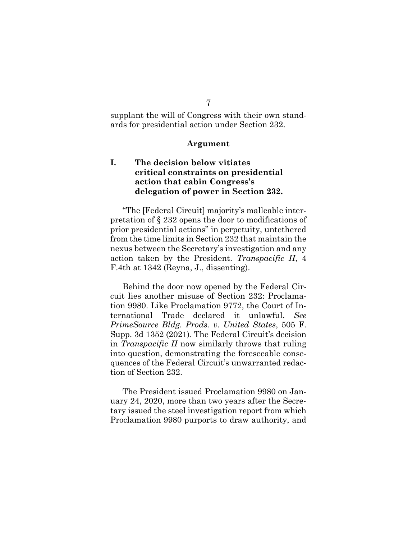### 7

supplant the will of Congress with their own standards for presidential action under Section 232.

#### **Argument**

### <span id="page-13-1"></span><span id="page-13-0"></span>**I. The decision below vitiates critical constraints on presidential action that cabin Congress's delegation of power in Section 232.**

"The [Federal Circuit] majority's malleable interpretation of § 232 opens the door to modifications of prior presidential actions" in perpetuity, untethered from the time limits in Section 232 that maintain the nexus between the Secretary's investigation and any action taken by the President. *Transpacific II*, 4 F.4th at 1342 (Reyna, J., dissenting).

<span id="page-13-2"></span>Behind the door now opened by the Federal Circuit lies another misuse of Section 232: Proclamation 9980. Like Proclamation 9772, the Court of International Trade declared it unlawful. *See PrimeSource Bldg. Prods. v. United States*, 505 F. Supp. 3d 1352 (2021). The Federal Circuit's decision in *Transpacific II* now similarly throws that ruling into question, demonstrating the foreseeable consequences of the Federal Circuit's unwarranted redaction of Section 232.

The President issued Proclamation 9980 on January 24, 2020, more than two years after the Secretary issued the steel investigation report from which Proclamation 9980 purports to draw authority, and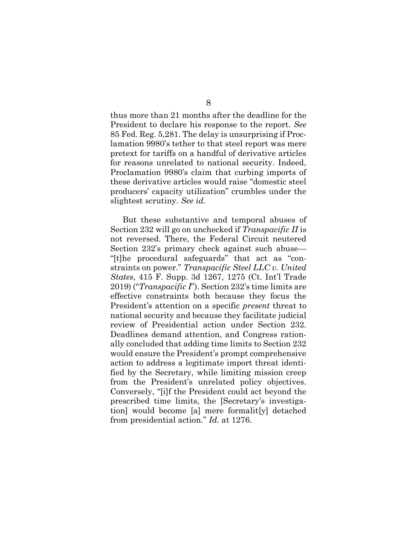<span id="page-14-1"></span>thus more than 21 months after the deadline for the President to declare his response to the report. *See*  85 Fed. Reg. 5,281. The delay is unsurprising if Proclamation 9980's tether to that steel report was mere pretext for tariffs on a handful of derivative articles for reasons unrelated to national security. Indeed, Proclamation 9980's claim that curbing imports of these derivative articles would raise "domestic steel producers' capacity utilization" crumbles under the slightest scrutiny. *See id.*

<span id="page-14-0"></span>But these substantive and temporal abuses of Section 232 will go on unchecked if *Transpacific II* is not reversed. There, the Federal Circuit neutered Section 232's primary check against such abuse— "[t]he procedural safeguards" that act as "constraints on power." *Transpacific Steel LLC v. United States*, 415 F. Supp. 3d 1267, 1275 (Ct. Int'l Trade 2019) ("*Transpacific I*"). Section 232's time limits are effective constraints both because they focus the President's attention on a specific *present* threat to national security and because they facilitate judicial review of Presidential action under Section 232. Deadlines demand attention, and Congress rationally concluded that adding time limits to Section 232 would ensure the President's prompt comprehensive action to address a legitimate import threat identified by the Secretary, while limiting mission creep from the President's unrelated policy objectives. Conversely, "[i]f the President could act beyond the prescribed time limits, the [Secretary's investigation] would become [a] mere formalit[y] detached from presidential action." *Id.* at 1276.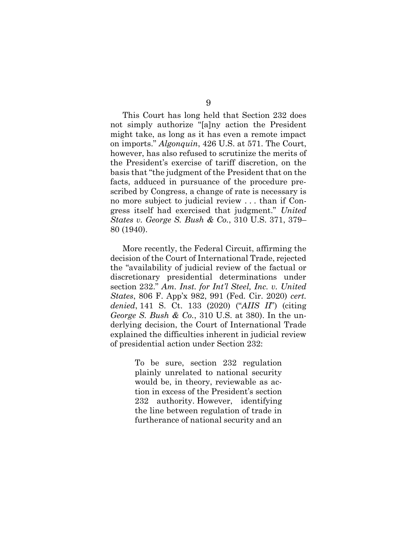<span id="page-15-1"></span>This Court has long held that Section 232 does not simply authorize "[a]ny action the President might take, as long as it has even a remote impact on imports." *Algonquin*, 426 U.S. at 571. The Court, however, has also refused to scrutinize the merits of the President's exercise of tariff discretion, on the basis that "the judgment of the President that on the facts, adduced in pursuance of the procedure prescribed by Congress, a change of rate is necessary is no more subject to judicial review . . . than if Congress itself had exercised that judgment." *United States v. George S. Bush & Co.*, 310 U.S. 371, 379– 80 (1940).

<span id="page-15-2"></span><span id="page-15-0"></span>More recently, the Federal Circuit, affirming the decision of the Court of International Trade, rejected the "availability of judicial review of the factual or discretionary presidential determinations under section 232." *Am. Inst. for Int'l Steel, Inc. v. United States*, 806 F. App'x 982, 991 (Fed. Cir. 2020) *cert. denied*, 141 S. Ct. 133 (2020) ("*AIIS II*") (citing *George S. Bush & Co.*, 310 U.S. at 380). In the underlying decision, the Court of International Trade explained the difficulties inherent in judicial review of presidential action under Section 232:

> To be sure, section 232 regulation plainly unrelated to national security would be, in theory, reviewable as action in excess of the President's section 232 authority. However, identifying the line between regulation of trade in furtherance of national security and an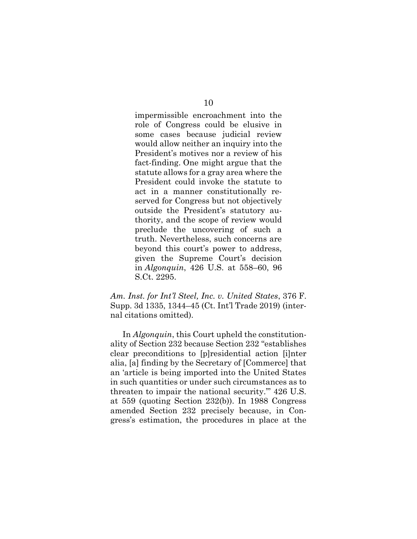impermissible encroachment into the role of Congress could be elusive in some cases because judicial review would allow neither an inquiry into the President's motives nor a review of his fact-finding. One might argue that the statute allows for a gray area where the President could invoke the statute to act in a manner constitutionally reserved for Congress but not objectively outside the President's statutory authority, and the scope of review would preclude the uncovering of such a truth. Nevertheless, such concerns are beyond this court's power to address, given the Supreme Court's decision in *Algonquin*, 426 U.S. at 558–60, 96 S.Ct. 2295.

<span id="page-16-1"></span><span id="page-16-0"></span>*Am. Inst. for Int'l Steel, Inc. v. United States*, 376 F. Supp. 3d 1335, 1344–45 (Ct. Int'l Trade 2019) (internal citations omitted).

In *Algonquin*, this Court upheld the constitutionality of Section 232 because Section 232 "establishes clear preconditions to [p]residential action [i]nter alia, [a] finding by the Secretary of [Commerce] that an 'article is being imported into the United States in such quantities or under such circumstances as to threaten to impair the national security.'" 426 U.S. at 559 (quoting Section 232(b)). In 1988 Congress amended Section 232 precisely because, in Congress's estimation, the procedures in place at the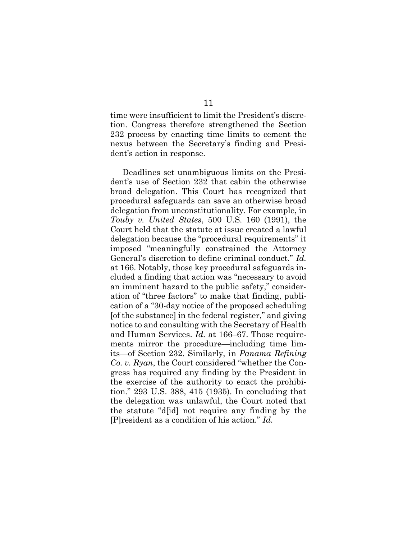time were insufficient to limit the President's discretion. Congress therefore strengthened the Section 232 process by enacting time limits to cement the nexus between the Secretary's finding and President's action in response.

<span id="page-17-1"></span><span id="page-17-0"></span>Deadlines set unambiguous limits on the President's use of Section 232 that cabin the otherwise broad delegation. This Court has recognized that procedural safeguards can save an otherwise broad delegation from unconstitutionality. For example, in *Touby v. United States*, 500 U.S. 160 (1991), the Court held that the statute at issue created a lawful delegation because the "procedural requirements" it imposed "meaningfully constrained the Attorney General's discretion to define criminal conduct." *Id.* at 166. Notably, those key procedural safeguards included a finding that action was "necessary to avoid an imminent hazard to the public safety," consideration of "three factors" to make that finding, publication of a "30-day notice of the proposed scheduling [of the substance] in the federal register," and giving notice to and consulting with the Secretary of Health and Human Services. *Id.* at 166–67. Those requirements mirror the procedure—including time limits—of Section 232. Similarly, in *Panama Refining Co. v. Ryan*, the Court considered "whether the Congress has required any finding by the President in the exercise of the authority to enact the prohibition." 293 U.S. 388, 415 (1935). In concluding that the delegation was unlawful, the Court noted that the statute "d[id] not require any finding by the [P]resident as a condition of his action." *Id.*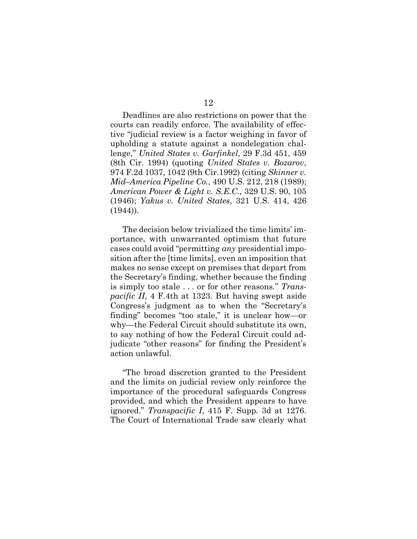<span id="page-18-4"></span><span id="page-18-3"></span><span id="page-18-1"></span>Deadlines are also restrictions on power that the courts can readily enforce. The availability of effective "judicial review is a factor weighing in favor of upholding a statute against a nondelegation challenge," *United States v. Garfinkel*, 29 F.3d 451, 459 (8th Cir. 1994) (quoting *United States v. Bozarov*, 974 F.2d 1037, 1042 (9th Cir.1992) (citing *Skinner v. Mid–America Pipeline Co.*, 490 U.S. 212, 218 (1989); *American Power & Light v. S.E.C.*, 329 U.S. 90, 105 (1946); *Yakus v. United States*, 321 U.S. 414, 426 (1944)).

<span id="page-18-5"></span><span id="page-18-0"></span>The decision below trivialized the time limits' importance, with unwarranted optimism that future cases could avoid "permitting *any* presidential imposition after the [time limits], even an imposition that makes no sense except on premises that depart from the Secretary's finding, whether because the finding is simply too stale . . . or for other reasons." *Transpacific II*, 4 F.4th at 1323. But having swept aside Congress's judgment as to when the "Secretary's finding" becomes "too stale," it is unclear how—or why—the Federal Circuit should substitute its own, to say nothing of how the Federal Circuit could adjudicate "other reasons" for finding the President's action unlawful.

<span id="page-18-2"></span>"The broad discretion granted to the President and the limits on judicial review only reinforce the importance of the procedural safeguards Congress provided, and which the President appears to have ignored." *Transpacific I*, 415 F. Supp. 3d at 1276. The Court of International Trade saw clearly what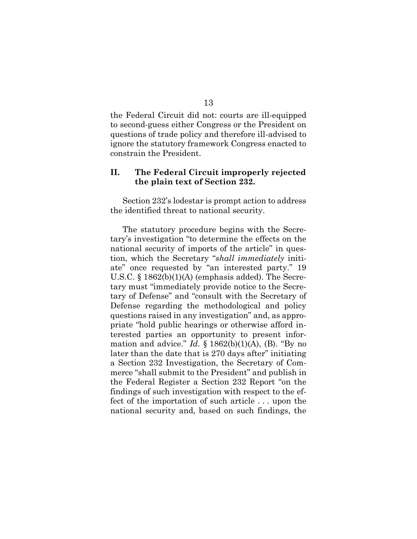the Federal Circuit did not: courts are ill-equipped to second-guess either Congress or the President on questions of trade policy and therefore ill-advised to ignore the statutory framework Congress enacted to constrain the President.

### <span id="page-19-0"></span>**II. The Federal Circuit improperly rejected the plain text of Section 232.**

Section 232's lodestar is prompt action to address the identified threat to national security.

The statutory procedure begins with the Secretary's investigation "to determine the effects on the national security of imports of the article" in question, which the Secretary "*shall immediately* initiate" once requested by "an interested party." 19 U.S.C. § 1862(b)(1)(A) (emphasis added). The Secretary must "immediately provide notice to the Secretary of Defense" and "consult with the Secretary of Defense regarding the methodological and policy questions raised in any investigation" and, as appropriate "hold public hearings or otherwise afford interested parties an opportunity to present information and advice." *Id.*  $\S$  1862(b)(1)(A), (B). "By no later than the date that is 270 days after" initiating a Section 232 Investigation, the Secretary of Commerce "shall submit to the President" and publish in the Federal Register a Section 232 Report "on the findings of such investigation with respect to the effect of the importation of such article . . . upon the national security and, based on such findings, the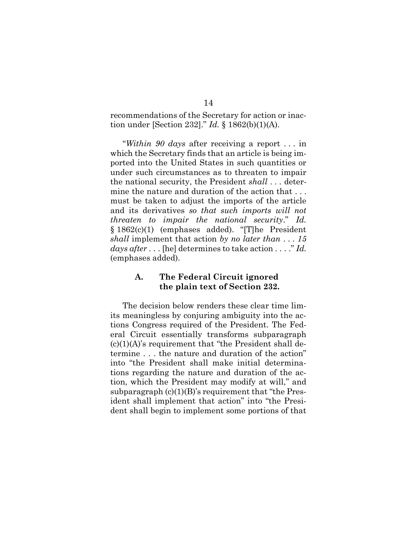recommendations of the Secretary for action or inaction under [Section 232]." *Id.* § 1862(b)(1)(A).

"*Within 90 days* after receiving a report . . . in which the Secretary finds that an article is being imported into the United States in such quantities or under such circumstances as to threaten to impair the national security, the President *shall* . . . determine the nature and duration of the action that . . . must be taken to adjust the imports of the article and its derivatives *so that such imports will not threaten to impair the national security*." *Id.* § 1862(c)(1) (emphases added). "[T]he President *shall* implement that action *by no later than* . . . *15 days after* . . . [he] determines to take action . . . ." *Id.* (emphases added).

### <span id="page-20-0"></span>**A. The Federal Circuit ignored the plain text of Section 232.**

The decision below renders these clear time limits meaningless by conjuring ambiguity into the actions Congress required of the President. The Federal Circuit essentially transforms subparagraph  $(c)(1)(A)$ 's requirement that "the President shall determine . . . the nature and duration of the action" into "the President shall make initial determinations regarding the nature and duration of the action, which the President may modify at will," and subparagraph  $(c)(1)(B)$ 's requirement that "the President shall implement that action" into "the President shall begin to implement some portions of that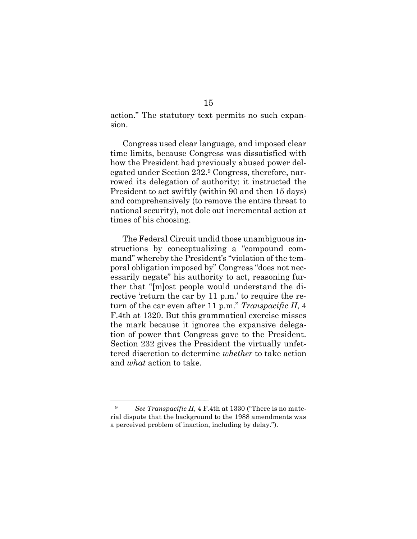action." The statutory text permits no such expansion.

Congress used clear language, and imposed clear time limits, because Congress was dissatisfied with how the President had previously abused power delegated under Section 232.<sup>9</sup> Congress, therefore, narrowed its delegation of authority: it instructed the President to act swiftly (within 90 and then 15 days) and comprehensively (to remove the entire threat to national security), not dole out incremental action at times of his choosing.

The Federal Circuit undid those unambiguous instructions by conceptualizing a "compound command" whereby the President's "violation of the temporal obligation imposed by" Congress "does not necessarily negate" his authority to act, reasoning further that "[m]ost people would understand the directive 'return the car by 11 p.m.' to require the return of the car even after 11 p.m." *Transpacific II*, 4 F.4th at 1320. But this grammatical exercise misses the mark because it ignores the expansive delegation of power that Congress gave to the President. Section 232 gives the President the virtually unfettered discretion to determine *whether* to take action and *what* action to take.

<sup>&</sup>lt;sup>9</sup> *See Transpacific II*, 4 F.4th at 1330 ("There is no material dispute that the background to the 1988 amendments was a perceived problem of inaction, including by delay.").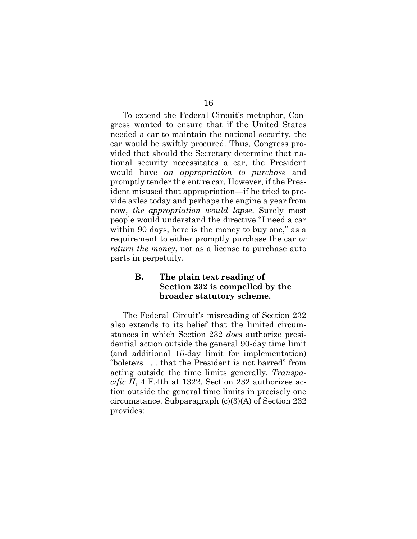To extend the Federal Circuit's metaphor, Congress wanted to ensure that if the United States needed a car to maintain the national security, the car would be swiftly procured. Thus, Congress provided that should the Secretary determine that national security necessitates a car, the President would have *an appropriation to purchase* and promptly tender the entire car*.* However, if the President misused that appropriation—if he tried to provide axles today and perhaps the engine a year from now, *the appropriation would lapse*. Surely most people would understand the directive "I need a car within 90 days, here is the money to buy one," as a requirement to either promptly purchase the car *or return the money*, not as a license to purchase auto parts in perpetuity.

### <span id="page-22-0"></span>**B. The plain text reading of Section 232 is compelled by the broader statutory scheme.**

The Federal Circuit's misreading of Section 232 also extends to its belief that the limited circumstances in which Section 232 *does* authorize presidential action outside the general 90-day time limit (and additional 15-day limit for implementation) "bolsters . . . that the President is not barred" from acting outside the time limits generally. *Transpacific II*, 4 F.4th at 1322. Section 232 authorizes action outside the general time limits in precisely one circumstance. Subparagraph (c)(3)(A) of Section 232 provides: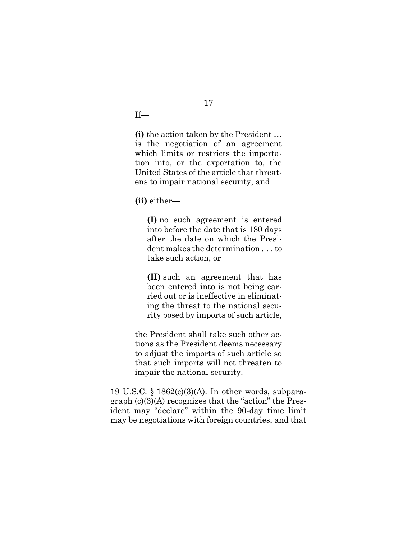If—

**(i)** the action taken by the President … is the negotiation of an agreement which limits or restricts the importation into, or the exportation to, the United States of the article that threatens to impair national security, and

**(ii)** either—

**(I)** no such agreement is entered into before the date that is 180 days after the date on which the President makes the determination . . . to take such action, or

**(II)** such an agreement that has been entered into is not being carried out or is ineffective in eliminating the threat to the national security posed by imports of such article,

the President shall take such other actions as the President deems necessary to adjust the imports of such article so that such imports will not threaten to impair the national security.

19 U.S.C. § 1862(c)(3)(A). In other words, subparagraph (c)(3)(A) recognizes that the "action" the President may "declare" within the 90-day time limit may be negotiations with foreign countries, and that

17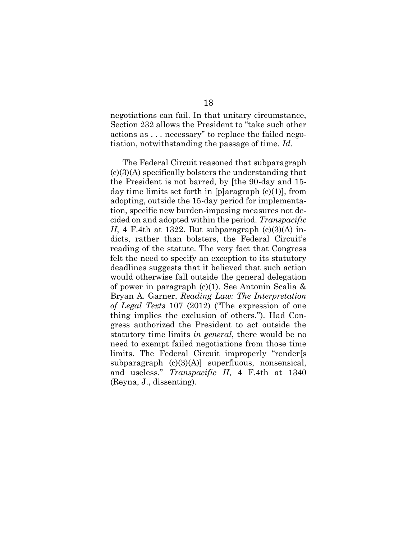negotiations can fail. In that unitary circumstance, Section 232 allows the President to "take such other actions as . . . necessary" to replace the failed negotiation, notwithstanding the passage of time. *Id*.

<span id="page-24-0"></span>The Federal Circuit reasoned that subparagraph  $(c)(3)(A)$  specifically bolsters the understanding that the President is not barred, by [the 90-day and 15 day time limits set forth in [p]aragraph (c)(1)], from adopting, outside the 15-day period for implementation, specific new burden-imposing measures not decided on and adopted within the period. *Transpacific II*, 4 F.4th at 1322. But subparagraph  $(c)(3)(A)$  indicts, rather than bolsters, the Federal Circuit's reading of the statute. The very fact that Congress felt the need to specify an exception to its statutory deadlines suggests that it believed that such action would otherwise fall outside the general delegation of power in paragraph (c)(1). See Antonin Scalia & Bryan A. Garner, *Reading Law: The Interpretation of Legal Texts* 107 (2012) ("The expression of one thing implies the exclusion of others."). Had Congress authorized the President to act outside the statutory time limits *in general*, there would be no need to exempt failed negotiations from those time limits. The Federal Circuit improperly "render[s subparagraph  $(c)(3)(A)$ ] superfluous, nonsensical, and useless." *Transpacific II*, 4 F.4th at 1340 (Reyna, J., dissenting).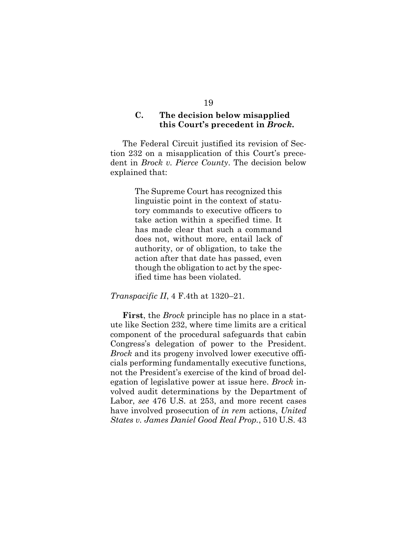### <span id="page-25-0"></span>**C. The decision below misapplied this Court's precedent in** *Brock***.**

The Federal Circuit justified its revision of Section 232 on a misapplication of this Court's precedent in *Brock v. Pierce County*. The decision below explained that:

> The Supreme Court has recognized this linguistic point in the context of statutory commands to executive officers to take action within a specified time. It has made clear that such a command does not, without more, entail lack of authority, or of obligation, to take the action after that date has passed, even though the obligation to act by the specified time has been violated.

#### *Transpacific II*, 4 F.4th at 1320–21.

<span id="page-25-1"></span>**First**, the *Brock* principle has no place in a statute like Section 232, where time limits are a critical component of the procedural safeguards that cabin Congress's delegation of power to the President. *Brock* and its progeny involved lower executive officials performing fundamentally executive functions, not the President's exercise of the kind of broad delegation of legislative power at issue here. *Brock* involved audit determinations by the Department of Labor, *see* 476 U.S. at 253, and more recent cases have involved prosecution of *in rem* actions, *United States v. James Daniel Good Real Prop.*, 510 U.S. 43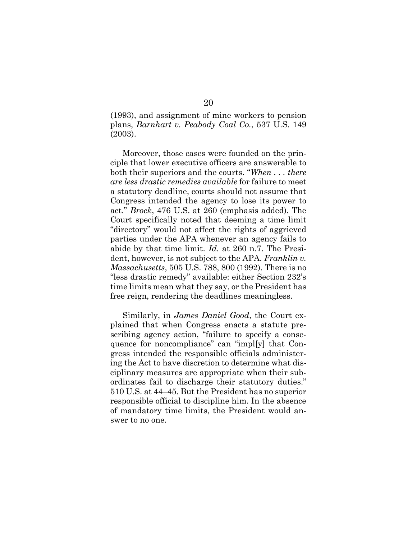<span id="page-26-0"></span>(1993), and assignment of mine workers to pension plans, *Barnhart v. Peabody Coal Co.*, 537 U.S. 149 (2003).

Moreover, those cases were founded on the principle that lower executive officers are answerable to both their superiors and the courts. "*When . . . there are less drastic remedies available* for failure to meet a statutory deadline, courts should not assume that Congress intended the agency to lose its power to act." *Brock*, 476 U.S. at 260 (emphasis added). The Court specifically noted that deeming a time limit "directory" would not affect the rights of aggrieved parties under the APA whenever an agency fails to abide by that time limit. *Id.* at 260 n.7. The President, however, is not subject to the APA. *Franklin v. Massachusetts*, 505 U.S. 788, 800 (1992). There is no "less drastic remedy" available: either Section 232's time limits mean what they say, or the President has free reign, rendering the deadlines meaningless.

<span id="page-26-2"></span><span id="page-26-1"></span>Similarly, in *James Daniel Good*, the Court explained that when Congress enacts a statute prescribing agency action, "failure to specify a consequence for noncompliance" can "impl[y] that Congress intended the responsible officials administering the Act to have discretion to determine what disciplinary measures are appropriate when their subordinates fail to discharge their statutory duties." 510 U.S. at 44–45. But the President has no superior responsible official to discipline him. In the absence of mandatory time limits, the President would answer to no one.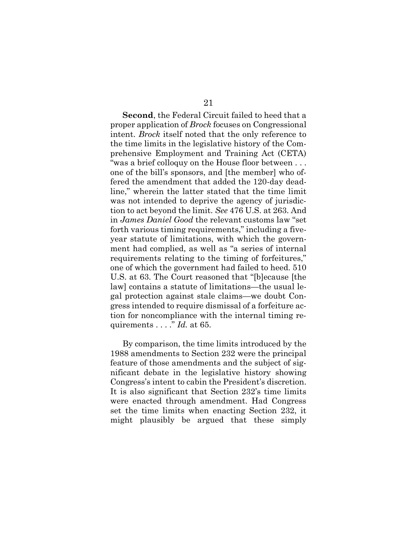**Second**, the Federal Circuit failed to heed that a proper application of *Brock* focuses on Congressional intent. *Brock* itself noted that the only reference to the time limits in the legislative history of the Comprehensive Employment and Training Act (CETA) "was a brief colloquy on the House floor between . . . one of the bill's sponsors, and [the member] who offered the amendment that added the 120-day deadline," wherein the latter stated that the time limit was not intended to deprive the agency of jurisdiction to act beyond the limit. *See* 476 U.S. at 263. And in *James Daniel Good* the relevant customs law "set forth various timing requirements," including a fiveyear statute of limitations, with which the government had complied, as well as "a series of internal requirements relating to the timing of forfeitures," one of which the government had failed to heed. 510 U.S. at 63. The Court reasoned that "[b]ecause [the law] contains a statute of limitations—the usual legal protection against stale claims—we doubt Congress intended to require dismissal of a forfeiture action for noncompliance with the internal timing requirements . . . ." *Id.* at 65.

<span id="page-27-0"></span>By comparison, the time limits introduced by the 1988 amendments to Section 232 were the principal feature of those amendments and the subject of significant debate in the legislative history showing Congress's intent to cabin the President's discretion. It is also significant that Section 232's time limits were enacted through amendment. Had Congress set the time limits when enacting Section 232, it might plausibly be argued that these simply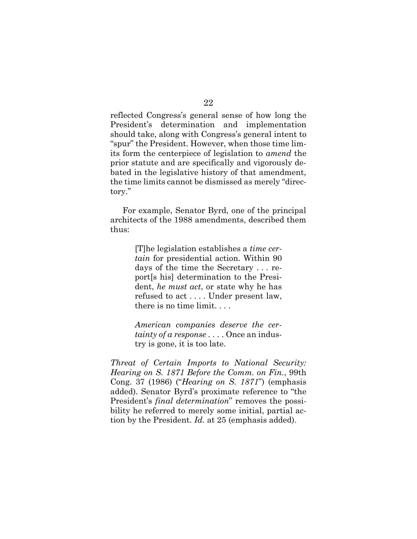reflected Congress's general sense of how long the President's determination and implementation should take, along with Congress's general intent to "spur" the President. However, when those time limits form the centerpiece of legislation to *amend* the prior statute and are specifically and vigorously debated in the legislative history of that amendment, the time limits cannot be dismissed as merely "directory."

For example, Senator Byrd, one of the principal architects of the 1988 amendments, described them thus:

> [T]he legislation establishes a *time certain* for presidential action. Within 90 days of the time the Secretary . . . report[s his] determination to the President, *he must act*, or state why he has refused to act . . . . Under present law, there is no time limit. . . .

> *American companies deserve the certainty of a response* . . . . Once an industry is gone, it is too late.

<span id="page-28-0"></span>*Threat of Certain Imports to National Security: Hearing on S. 1871 Before the Comm. on Fin.*, 99th Cong. 37 (1986) ("*Hearing on S. 1871*") (emphasis added). Senator Byrd's proximate reference to "the President's *final determination*" removes the possibility he referred to merely some initial, partial action by the President. *Id.* at 25 (emphasis added).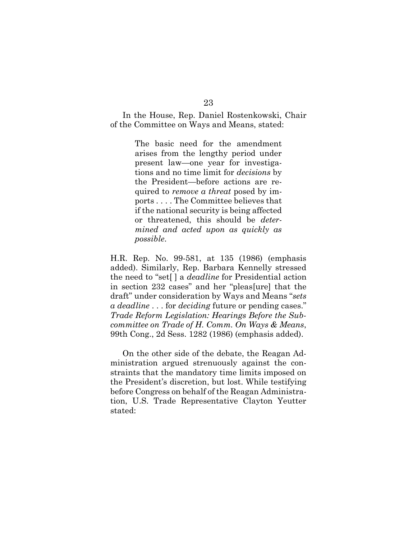In the House, Rep. Daniel Rostenkowski, Chair of the Committee on Ways and Means, stated:

> The basic need for the amendment arises from the lengthy period under present law—one year for investigations and no time limit for *decisions* by the President—before actions are required to *remove a threat* posed by imports . . . . The Committee believes that if the national security is being affected or threatened, this should be *determined and acted upon as quickly as possible*.

H.R. Rep. No. 99-581, at 135 (1986) (emphasis added). Similarly, Rep. Barbara Kennelly stressed the need to "set[ ] a *deadline* for Presidential action in section 232 cases" and her "pleas[ure] that the draft" under consideration by Ways and Means "*sets a deadline* . . . for *deciding* future or pending cases." *Trade Reform Legislation: Hearings Before the Subcommittee on Trade of H. Comm. On Ways & Means*, 99th Cong., 2d Sess. 1282 (1986) (emphasis added).

<span id="page-29-0"></span>On the other side of the debate, the Reagan Administration argued strenuously against the constraints that the mandatory time limits imposed on the President's discretion, but lost. While testifying before Congress on behalf of the Reagan Administration, U.S. Trade Representative Clayton Yeutter stated: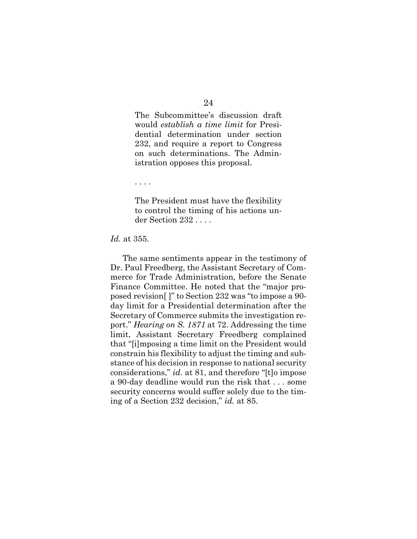The Subcommittee's discussion draft would *establish a time limit* for Presidential determination under section 232, and require a report to Congress on such determinations. The Administration opposes this proposal.

. . . .

The President must have the flexibility to control the timing of his actions under Section 232 . . . .

#### <span id="page-30-1"></span>*Id.* at 355.

<span id="page-30-0"></span>The same sentiments appear in the testimony of Dr. Paul Freedberg, the Assistant Secretary of Commerce for Trade Administration, before the Senate Finance Committee. He noted that the "major proposed revision[ ]" to Section 232 was "to impose a 90 day limit for a Presidential determination after the Secretary of Commerce submits the investigation report." *Hearing on S. 1871* at 72. Addressing the time limit, Assistant Secretary Freedberg complained that "[i]mposing a time limit on the President would constrain his flexibility to adjust the timing and substance of his decision in response to national security considerations," *id.* at 81, and therefore "[t]o impose a 90-day deadline would run the risk that . . . some security concerns would suffer solely due to the timing of a Section 232 decision," *id.* at 85.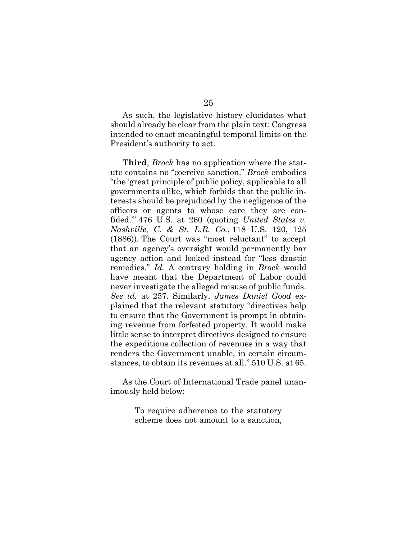As such, the legislative history elucidates what should already be clear from the plain text: Congress intended to enact meaningful temporal limits on the President's authority to act.

<span id="page-31-1"></span>**Third**, *Brock* has no application where the statute contains no "coercive sanction." *Brock* embodies "the 'great principle of public policy, applicable to all governments alike, which forbids that the public interests should be prejudiced by the negligence of the officers or agents to whose care they are confided.'" 476 U.S. at 260 (quoting *United States v. Nashville, C. & St. L.R. Co.*, 118 U.S. 120, 125 (1886)). The Court was "most reluctant" to accept that an agency's oversight would permanently bar agency action and looked instead for "less drastic remedies." *Id.* A contrary holding in *Brock* would have meant that the Department of Labor could never investigate the alleged misuse of public funds. *See id.* at 257. Similarly, *James Daniel Good* explained that the relevant statutory "directives help to ensure that the Government is prompt in obtaining revenue from forfeited property. It would make little sense to interpret directives designed to ensure the expeditious collection of revenues in a way that renders the Government unable, in certain circumstances, to obtain its revenues at all." 510 U.S. at 65.

As the Court of International Trade panel unanimously held below:

> <span id="page-31-0"></span>To require adherence to the statutory scheme does not amount to a sanction,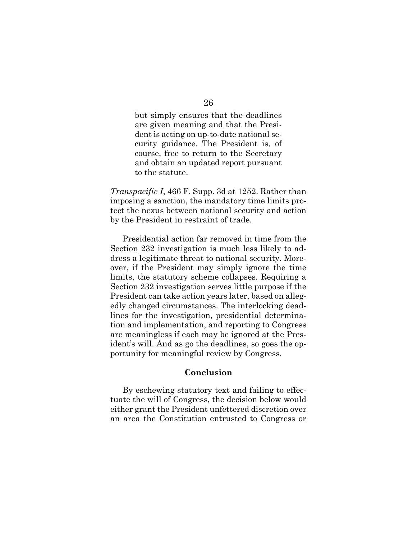but simply ensures that the deadlines are given meaning and that the President is acting on up-to-date national security guidance. The President is, of course, free to return to the Secretary and obtain an updated report pursuant to the statute.

<span id="page-32-1"></span>*Transpacific I*, 466 F. Supp. 3d at 1252. Rather than imposing a sanction, the mandatory time limits protect the nexus between national security and action by the President in restraint of trade.

Presidential action far removed in time from the Section 232 investigation is much less likely to address a legitimate threat to national security. Moreover, if the President may simply ignore the time limits, the statutory scheme collapses. Requiring a Section 232 investigation serves little purpose if the President can take action years later, based on allegedly changed circumstances. The interlocking deadlines for the investigation, presidential determination and implementation, and reporting to Congress are meaningless if each may be ignored at the President's will. And as go the deadlines, so goes the opportunity for meaningful review by Congress.

#### **Conclusion**

<span id="page-32-0"></span>By eschewing statutory text and failing to effectuate the will of Congress, the decision below would either grant the President unfettered discretion over an area the Constitution entrusted to Congress or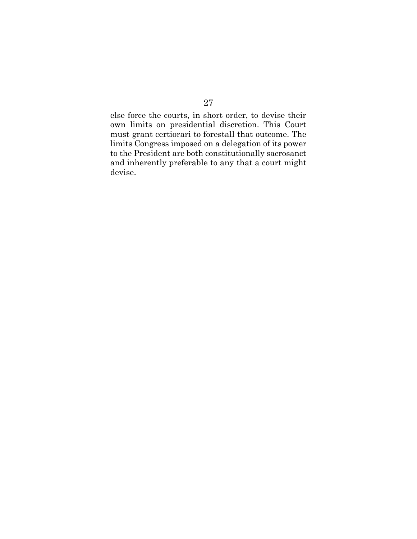else force the courts, in short order, to devise their own limits on presidential discretion. This Court must grant certiorari to forestall that outcome. The limits Congress imposed on a delegation of its power to the President are both constitutionally sacrosanct and inherently preferable to any that a court might devise.